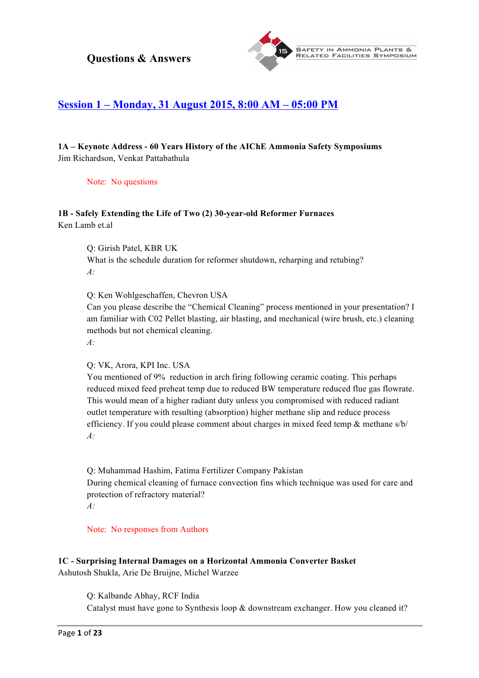

# **Session 1 – Monday, 31 August 2015, 8:00 AM – 05:00 PM**

### **1A – Keynote Address - 60 Years History of the AIChE Ammonia Safety Symposiums** Jim Richardson, Venkat Pattabathula

#### Note: No questions

### **1B - Safely Extending the Life of Two (2) 30-year-old Reformer Furnaces** Ken Lamb et al.

Q: Girish Patel, KBR UK

What is the schedule duration for reformer shutdown, reharping and retubing? *A:*

Q: Ken Wohlgeschaffen, Chevron USA

Can you please describe the "Chemical Cleaning" process mentioned in your presentation? I am familiar with C02 Pellet blasting, air blasting, and mechanical (wire brush, etc.) cleaning methods but not chemical cleaning.

*A:*

#### Q: VK, Arora, KPI Inc. USA

You mentioned of 9% reduction in arch firing following ceramic coating. This perhaps reduced mixed feed preheat temp due to reduced BW temperature reduced flue gas flowrate. This would mean of a higher radiant duty unless you compromised with reduced radiant outlet temperature with resulting (absorption) higher methane slip and reduce process efficiency. If you could please comment about charges in mixed feed temp & methane s/b/ *A:*

Q: Muhammad Hashim, Fatima Fertilizer Company Pakistan During chemical cleaning of furnace convection fins which technique was used for care and protection of refractory material? *A:*

#### Note: No responses from Authors

#### **1C - Surprising Internal Damages on a Horizontal Ammonia Converter Basket** Ashutosh Shukla, Arie De Bruijne, Michel Warzee

Q: Kalbande Abhay, RCF India Catalyst must have gone to Synthesis loop & downstream exchanger. How you cleaned it?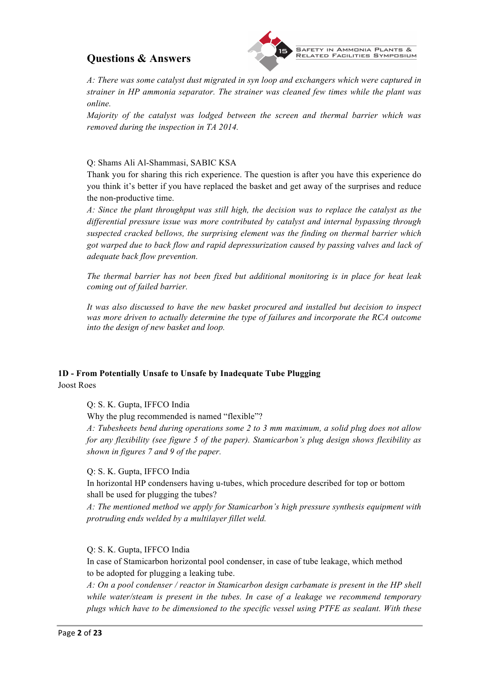

**SAFETY IN AMMONIA PLANTS &** RELATED FACILITIES SYMPOSIUM

*A: There was some catalyst dust migrated in syn loop and exchangers which were captured in strainer in HP ammonia separator. The strainer was cleaned few times while the plant was online.*

*Majority of the catalyst was lodged between the screen and thermal barrier which was removed during the inspection in TA 2014.*

Q: Shams Ali Al-Shammasi, SABIC KSA

Thank you for sharing this rich experience. The question is after you have this experience do you think it's better if you have replaced the basket and get away of the surprises and reduce the non-productive time.

*A: Since the plant throughput was still high, the decision was to replace the catalyst as the differential pressure issue was more contributed by catalyst and internal bypassing through suspected cracked bellows, the surprising element was the finding on thermal barrier which got warped due to back flow and rapid depressurization caused by passing valves and lack of adequate back flow prevention.*

*The thermal barrier has not been fixed but additional monitoring is in place for heat leak coming out of failed barrier.*

*It was also discussed to have the new basket procured and installed but decision to inspect was more driven to actually determine the type of failures and incorporate the RCA outcome into the design of new basket and loop.*

#### **1D - From Potentially Unsafe to Unsafe by Inadequate Tube Plugging** Joost Roes

Q: S. K. Gupta, IFFCO India

Why the plug recommended is named "flexible"?

*A: Tubesheets bend during operations some 2 to 3 mm maximum, a solid plug does not allow for any flexibility (see figure 5 of the paper). Stamicarbon's plug design shows flexibility as shown in figures 7 and 9 of the paper.*

#### Q: S. K. Gupta, IFFCO India

In horizontal HP condensers having u-tubes, which procedure described for top or bottom shall be used for plugging the tubes?

*A: The mentioned method we apply for Stamicarbon's high pressure synthesis equipment with protruding ends welded by a multilayer fillet weld.*

#### Q: S. K. Gupta, IFFCO India

In case of Stamicarbon horizontal pool condenser, in case of tube leakage, which method to be adopted for plugging a leaking tube.

*A: On a pool condenser / reactor in Stamicarbon design carbamate is present in the HP shell while water/steam is present in the tubes. In case of a leakage we recommend temporary plugs which have to be dimensioned to the specific vessel using PTFE as sealant. With these*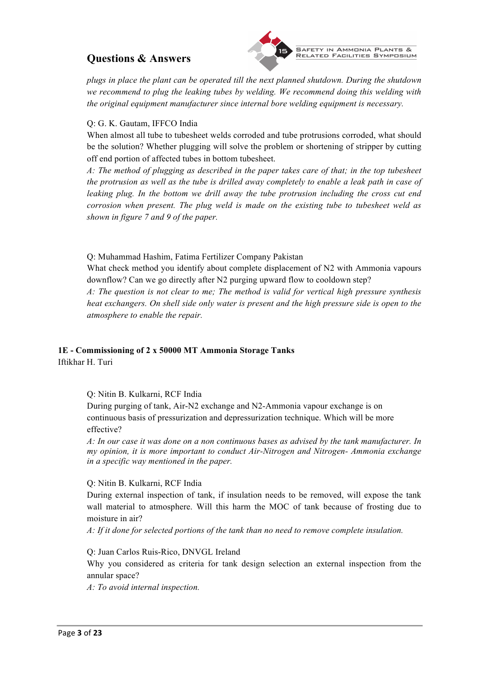

*plugs in place the plant can be operated till the next planned shutdown. During the shutdown we recommend to plug the leaking tubes by welding. We recommend doing this welding with the original equipment manufacturer since internal bore welding equipment is necessary.*

#### Q: G. K. Gautam, IFFCO India

When almost all tube to tubesheet welds corroded and tube protrusions corroded, what should be the solution? Whether plugging will solve the problem or shortening of stripper by cutting off end portion of affected tubes in bottom tubesheet.

*A: The method of plugging as described in the paper takes care of that; in the top tubesheet the protrusion as well as the tube is drilled away completely to enable a leak path in case of leaking plug. In the bottom we drill away the tube protrusion including the cross cut end corrosion when present. The plug weld is made on the existing tube to tubesheet weld as shown in figure 7 and 9 of the paper.*

Q: Muhammad Hashim, Fatima Fertilizer Company Pakistan

What check method you identify about complete displacement of N2 with Ammonia vapours downflow? Can we go directly after N2 purging upward flow to cooldown step?

*A: The question is not clear to me; The method is valid for vertical high pressure synthesis heat exchangers. On shell side only water is present and the high pressure side is open to the atmosphere to enable the repair.*

#### **1E - Commissioning of 2 x 50000 MT Ammonia Storage Tanks**

Iftikhar H. Turi

Q: Nitin B. Kulkarni, RCF India

During purging of tank, Air-N2 exchange and N2-Ammonia vapour exchange is on continuous basis of pressurization and depressurization technique. Which will be more effective?

*A: In our case it was done on a non continuous bases as advised by the tank manufacturer. In my opinion, it is more important to conduct Air-Nitrogen and Nitrogen- Ammonia exchange in a specific way mentioned in the paper.*

#### Q: Nitin B. Kulkarni, RCF India

During external inspection of tank, if insulation needs to be removed, will expose the tank wall material to atmosphere. Will this harm the MOC of tank because of frosting due to moisture in air?

*A: If it done for selected portions of the tank than no need to remove complete insulation.*

Q: Juan Carlos Ruis-Rico, DNVGL Ireland

Why you considered as criteria for tank design selection an external inspection from the annular space?

*A: To avoid internal inspection.*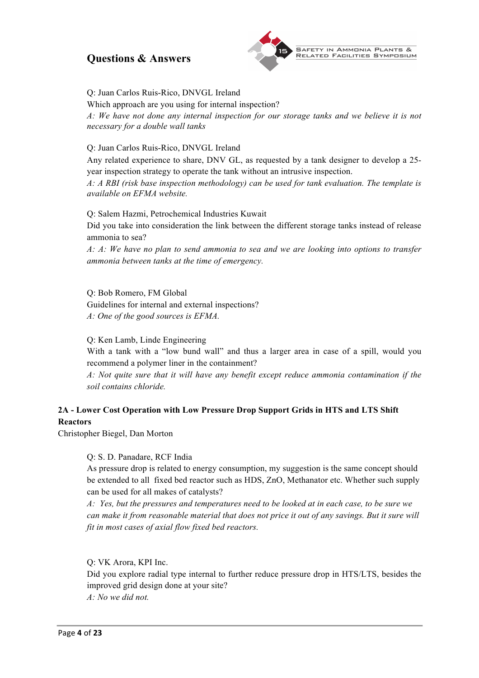

Q: Juan Carlos Ruis-Rico, DNVGL Ireland

Which approach are you using for internal inspection?

*A: We have not done any internal inspection for our storage tanks and we believe it is not necessary for a double wall tanks*

#### Q: Juan Carlos Ruis-Rico, DNVGL Ireland

Any related experience to share, DNV GL, as requested by a tank designer to develop a 25 year inspection strategy to operate the tank without an intrusive inspection.

*A: A RBI (risk base inspection methodology) can be used for tank evaluation. The template is available on EFMA website.*

Q: Salem Hazmi, Petrochemical Industries Kuwait

Did you take into consideration the link between the different storage tanks instead of release ammonia to sea?

*A: A: We have no plan to send ammonia to sea and we are looking into options to transfer ammonia between tanks at the time of emergency.*

Q: Bob Romero, FM Global Guidelines for internal and external inspections? *A: One of the good sources is EFMA.*

Q: Ken Lamb, Linde Engineering

With a tank with a "low bund wall" and thus a larger area in case of a spill, would you recommend a polymer liner in the containment?

*A: Not quite sure that it will have any benefit except reduce ammonia contamination if the soil contains chloride.*

### **2A - Lower Cost Operation with Low Pressure Drop Support Grids in HTS and LTS Shift Reactors**

Christopher Biegel, Dan Morton

#### Q: S. D. Panadare, RCF India

As pressure drop is related to energy consumption, my suggestion is the same concept should be extended to all fixed bed reactor such as HDS, ZnO, Methanator etc. Whether such supply can be used for all makes of catalysts?

*A: Yes, but the pressures and temperatures need to be looked at in each case, to be sure we can make it from reasonable material that does not price it out of any savings. But it sure will fit in most cases of axial flow fixed bed reactors.*

#### Q: VK Arora, KPI Inc.

Did you explore radial type internal to further reduce pressure drop in HTS/LTS, besides the improved grid design done at your site? *A: No we did not.*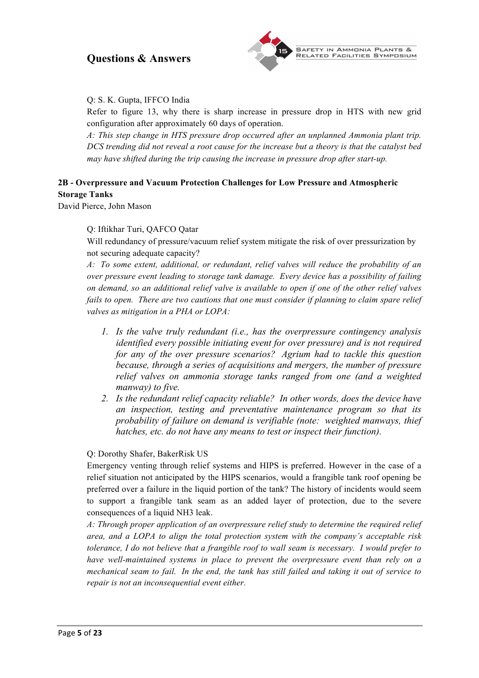

### Q: S. K. Gupta, IFFCO India

Refer to figure 13, why there is sharp increase in pressure drop in HTS with new grid configuration after approximately 60 days of operation.

*A: This step change in HTS pressure drop occurred after an unplanned Ammonia plant trip. DCS trending did not reveal a root cause for the increase but a theory is that the catalyst bed may have shifted during the trip causing the increase in pressure drop after start-up.*

### **2B - Overpressure and Vacuum Protection Challenges for Low Pressure and Atmospheric Storage Tanks**

David Pierce, John Mason

#### Q: Iftikhar Turi, QAFCO Qatar

Will redundancy of pressure/vacuum relief system mitigate the risk of over pressurization by not securing adequate capacity?

*A: To some extent, additional, or redundant, relief valves will reduce the probability of an over pressure event leading to storage tank damage. Every device has a possibility of failing on demand, so an additional relief valve is available to open if one of the other relief valves fails to open. There are two cautions that one must consider if planning to claim spare relief valves as mitigation in a PHA or LOPA:*

- *1. Is the valve truly redundant (i.e., has the overpressure contingency analysis identified every possible initiating event for over pressure) and is not required for any of the over pressure scenarios? Agrium had to tackle this question because, through a series of acquisitions and mergers, the number of pressure relief valves on ammonia storage tanks ranged from one (and a weighted manway) to five.*
- *2. Is the redundant relief capacity reliable? In other words, does the device have an inspection, testing and preventative maintenance program so that its probability of failure on demand is verifiable (note: weighted manways, thief hatches, etc. do not have any means to test or inspect their function).*

#### Q: Dorothy Shafer, BakerRisk US

Emergency venting through relief systems and HIPS is preferred. However in the case of a relief situation not anticipated by the HIPS scenarios, would a frangible tank roof opening be preferred over a failure in the liquid portion of the tank? The history of incidents would seem to support a frangible tank seam as an added layer of protection, due to the severe consequences of a liquid NH3 leak.

*A: Through proper application of an overpressure relief study to determine the required relief area, and a LOPA to align the total protection system with the company's acceptable risk tolerance, I do not believe that a frangible roof to wall seam is necessary. I would prefer to have well-maintained systems in place to prevent the overpressure event than rely on a mechanical seam to fail. In the end, the tank has still failed and taking it out of service to repair is not an inconsequential event either.*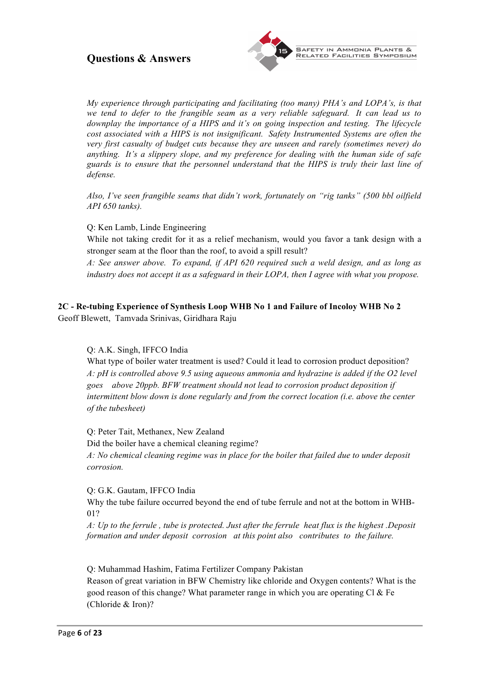

*My experience through participating and facilitating (too many) PHA's and LOPA's, is that we tend to defer to the frangible seam as a very reliable safeguard. It can lead us to downplay the importance of a HIPS and it's on going inspection and testing. The lifecycle cost associated with a HIPS is not insignificant. Safety Instrumented Systems are often the very first casualty of budget cuts because they are unseen and rarely (sometimes never) do anything. It's a slippery slope, and my preference for dealing with the human side of safe guards is to ensure that the personnel understand that the HIPS is truly their last line of defense.*

*Also, I've seen frangible seams that didn't work, fortunately on "rig tanks" (500 bbl oilfield API 650 tanks).*

Q: Ken Lamb, Linde Engineering

While not taking credit for it as a relief mechanism, would you favor a tank design with a stronger seam at the floor than the roof, to avoid a spill result?

*A: See answer above. To expand, if API 620 required such a weld design, and as long as industry does not accept it as a safeguard in their LOPA, then I agree with what you propose.*

### **2C - Re-tubing Experience of Synthesis Loop WHB No 1 and Failure of Incoloy WHB No 2**

Geoff Blewett, Tamvada Srinivas, Giridhara Raju

#### Q: A.K. Singh, IFFCO India

What type of boiler water treatment is used? Could it lead to corrosion product deposition? *A: pH is controlled above 9.5 using aqueous ammonia and hydrazine is added if the O2 level goes above 20ppb. BFW treatment should not lead to corrosion product deposition if intermittent blow down is done regularly and from the correct location (i.e. above the center of the tubesheet)*

Q: Peter Tait, Methanex, New Zealand

Did the boiler have a chemical cleaning regime?

*A: No chemical cleaning regime was in place for the boiler that failed due to under deposit corrosion.*

#### Q: G.K. Gautam, IFFCO India

Why the tube failure occurred beyond the end of tube ferrule and not at the bottom in WHB-01?

*A: Up to the ferrule , tube is protected. Just after the ferrule heat flux is the highest .Deposit formation and under deposit corrosion at this point also contributes to the failure.*

Q: Muhammad Hashim, Fatima Fertilizer Company Pakistan

Reason of great variation in BFW Chemistry like chloride and Oxygen contents? What is the good reason of this change? What parameter range in which you are operating Cl & Fe (Chloride & Iron)?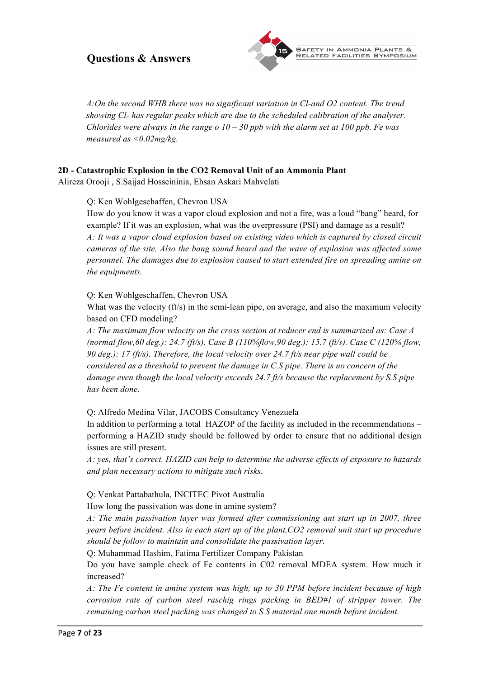

*A:On the second WHB there was no significant variation in Cl-and O2 content. The trend showing Cl- has regular peaks which are due to the scheduled calibration of the analyser. Chlorides were always in the range o 10 – 30 ppb with the alarm set at 100 ppb. Fe was measured as <0.02mg/kg.*

#### **2D - Catastrophic Explosion in the CO2 Removal Unit of an Ammonia Plant**

Alireza Orooji , S.Sajjad Hosseininia, Ehsan Askari Mahvelati

#### Q: Ken Wohlgeschaffen, Chevron USA

How do you know it was a vapor cloud explosion and not a fire, was a loud "bang" heard, for example? If it was an explosion, what was the overpressure (PSI) and damage as a result? *A: It was a vapor cloud explosion based on existing video which is captured by closed circuit cameras of the site. Also the bang sound heard and the wave of explosion was affected some personnel. The damages due to explosion caused to start extended fire on spreading amine on the equipments.*

#### Q: Ken Wohlgeschaffen, Chevron USA

What was the velocity  $(ft/s)$  in the semi-lean pipe, on average, and also the maximum velocity based on CFD modeling?

*A: The maximum flow velocity on the cross section at reducer end is summarized as: Case A (normal flow,60 deg.): 24.7 (ft/s). Case B (110%flow,90 deg.): 15.7 (ft/s). Case C (120% flow, 90 deg.): 17 (ft/s). Therefore, the local velocity over 24.7 ft/s near pipe wall could be considered as a threshold to prevent the damage in C.S pipe. There is no concern of the damage even though the local velocity exceeds 24.7 ft/s because the replacement by S.S pipe has been done.*

#### Q: Alfredo Medina Vilar, JACOBS Consultancy Venezuela

In addition to performing a total HAZOP of the facility as included in the recommendations – performing a HAZID study should be followed by order to ensure that no additional design issues are still present.

*A: yes, that's correct. HAZID can help to determine the adverse effects of exposure to hazards and plan necessary actions to mitigate such risks.*

#### Q: Venkat Pattabathula, INCITEC Pivot Australia

How long the passivation was done in amine system?

*A: The main passivation layer was formed after commissioning ant start up in 2007, three years before incident. Also in each start up of the plant,CO2 removal unit start up procedure should be follow to maintain and consolidate the passivation layer.*

Q: Muhammad Hashim, Fatima Fertilizer Company Pakistan

Do you have sample check of Fe contents in C02 removal MDEA system. How much it increased?

*A: The Fe content in amine system was high, up to 30 PPM before incident because of high corrosion rate of carbon steel raschig rings packing in BED#1 of stripper tower. The remaining carbon steel packing was changed to S.S material one month before incident.*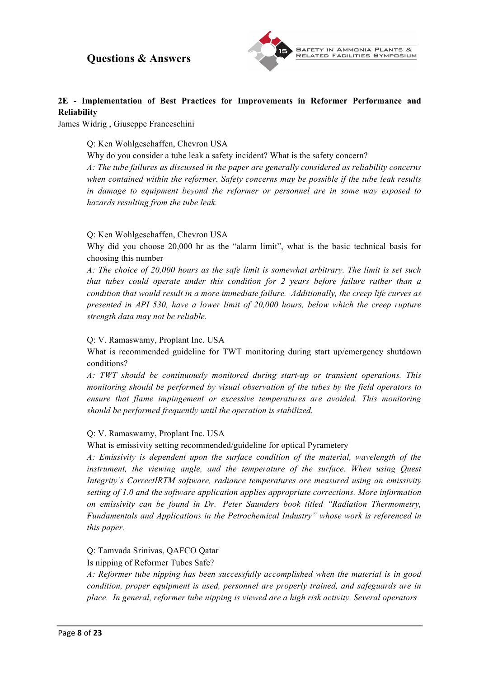

### **2E - Implementation of Best Practices for Improvements in Reformer Performance and Reliability**

James Widrig , Giuseppe Franceschini

Q: Ken Wohlgeschaffen, Chevron USA

Why do you consider a tube leak a safety incident? What is the safety concern?

*A: The tube failures as discussed in the paper are generally considered as reliability concerns when contained within the reformer. Safety concerns may be possible if the tube leak results in damage to equipment beyond the reformer or personnel are in some way exposed to hazards resulting from the tube leak.*

#### Q: Ken Wohlgeschaffen, Chevron USA

Why did you choose 20,000 hr as the "alarm limit", what is the basic technical basis for choosing this number

*A: The choice of 20,000 hours as the safe limit is somewhat arbitrary. The limit is set such that tubes could operate under this condition for 2 years before failure rather than a condition that would result in a more immediate failure. Additionally, the creep life curves as presented in API 530, have a lower limit of 20,000 hours, below which the creep rupture strength data may not be reliable.*

#### Q: V. Ramaswamy, Proplant Inc. USA

What is recommended guideline for TWT monitoring during start up/emergency shutdown conditions?

*A: TWT should be continuously monitored during start-up or transient operations. This monitoring should be performed by visual observation of the tubes by the field operators to ensure that flame impingement or excessive temperatures are avoided. This monitoring should be performed frequently until the operation is stabilized.*

#### Q: V. Ramaswamy, Proplant Inc. USA

What is emissivity setting recommended/guideline for optical Pyrametery

*A: Emissivity is dependent upon the surface condition of the material, wavelength of the*  instrument, the viewing angle, and the temperature of the surface. When using Quest *Integrity's CorrectIRTM software, radiance temperatures are measured using an emissivity setting of 1.0 and the software application applies appropriate corrections. More information on emissivity can be found in Dr. Peter Saunders book titled "Radiation Thermometry, Fundamentals and Applications in the Petrochemical Industry" whose work is referenced in this paper.*

#### Q: Tamvada Srinivas, QAFCO Qatar

#### Is nipping of Reformer Tubes Safe?

*A: Reformer tube nipping has been successfully accomplished when the material is in good condition, proper equipment is used, personnel are properly trained, and safeguards are in place. In general, reformer tube nipping is viewed are a high risk activity. Several operators*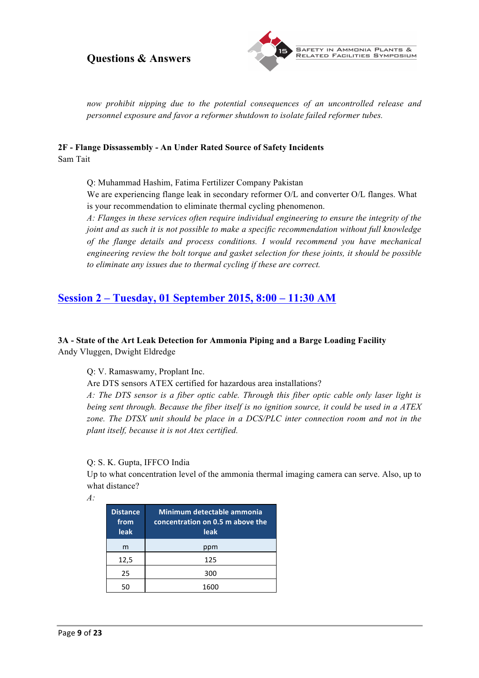

*now prohibit nipping due to the potential consequences of an uncontrolled release and personnel exposure and favor a reformer shutdown to isolate failed reformer tubes.* 

# **2F - Flange Dissassembly - An Under Rated Source of Safety Incidents**

Sam Tait

Q: Muhammad Hashim, Fatima Fertilizer Company Pakistan

We are experiencing flange leak in secondary reformer O/L and converter O/L flanges. What is your recommendation to eliminate thermal cycling phenomenon.

*A: Flanges in these services often require individual engineering to ensure the integrity of the joint and as such it is not possible to make a specific recommendation without full knowledge of the flange details and process conditions. I would recommend you have mechanical engineering review the bolt torque and gasket selection for these joints, it should be possible to eliminate any issues due to thermal cycling if these are correct.*

# **Session 2 – Tuesday, 01 September 2015, 8:00 – 11:30 AM**

### **3A - State of the Art Leak Detection for Ammonia Piping and a Barge Loading Facility** Andy Vluggen, Dwight Eldredge

Q: V. Ramaswamy, Proplant Inc.

Are DTS sensors ATEX certified for hazardous area installations?

*A: The DTS sensor is a fiber optic cable. Through this fiber optic cable only laser light is being sent through. Because the fiber itself is no ignition source, it could be used in a ATEX zone. The DTSX unit should be place in a DCS/PLC inter connection room and not in the plant itself, because it is not Atex certified.*

#### Q: S. K. Gupta, IFFCO India

Up to what concentration level of the ammonia thermal imaging camera can serve. Also, up to what distance?

*A:*

| <b>Distance</b><br>from<br>leak <sup>1</sup> | Minimum detectable ammonia<br>concentration on 0.5 m above the<br>leak |
|----------------------------------------------|------------------------------------------------------------------------|
| m                                            | ppm                                                                    |
| 12,5                                         | 125                                                                    |
| 25                                           | 300                                                                    |
| 50                                           | 1600                                                                   |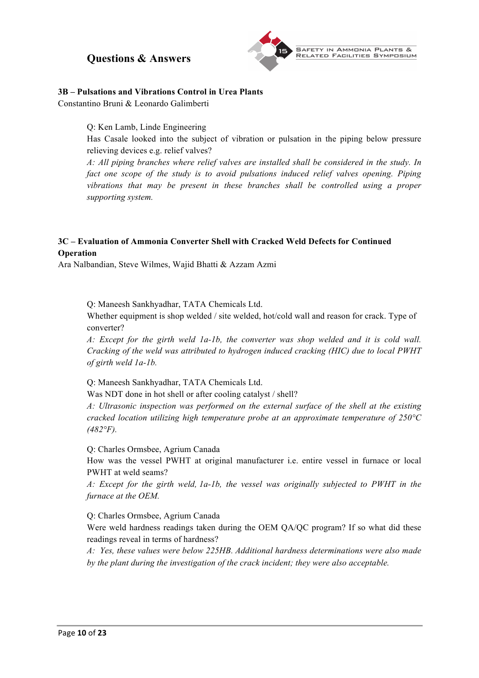

**3B – Pulsations and Vibrations Control in Urea Plants**

Constantino Bruni & Leonardo Galimberti

Q: Ken Lamb, Linde Engineering

Has Casale looked into the subject of vibration or pulsation in the piping below pressure relieving devices e.g. relief valves?

*A: All piping branches where relief valves are installed shall be considered in the study. In fact one scope of the study is to avoid pulsations induced relief valves opening. Piping vibrations that may be present in these branches shall be controlled using a proper supporting system.*

### **3C – Evaluation of Ammonia Converter Shell with Cracked Weld Defects for Continued Operation**

Ara Nalbandian, Steve Wilmes, Wajid Bhatti & Azzam Azmi

Q: Maneesh Sankhyadhar, TATA Chemicals Ltd.

Whether equipment is shop welded / site welded, hot/cold wall and reason for crack. Type of converter?

*A: Except for the girth weld 1a-1b, the converter was shop welded and it is cold wall. Cracking of the weld was attributed to hydrogen induced cracking (HIC) due to local PWHT of girth weld 1a-1b.*

Q: Maneesh Sankhyadhar, TATA Chemicals Ltd.

Was NDT done in hot shell or after cooling catalyst / shell?

*A: Ultrasonic inspection was performed on the external surface of the shell at the existing cracked location utilizing high temperature probe at an approximate temperature of 250°C (482°F).*

Q: Charles Ormsbee, Agrium Canada

How was the vessel PWHT at original manufacturer i.e. entire vessel in furnace or local PWHT at weld seams?

*A: Except for the girth weld, 1a-1b, the vessel was originally subjected to PWHT in the furnace at the OEM.*

Q: Charles Ormsbee, Agrium Canada

Were weld hardness readings taken during the OEM QA/QC program? If so what did these readings reveal in terms of hardness?

*A: Yes, these values were below 225HB. Additional hardness determinations were also made by the plant during the investigation of the crack incident; they were also acceptable.*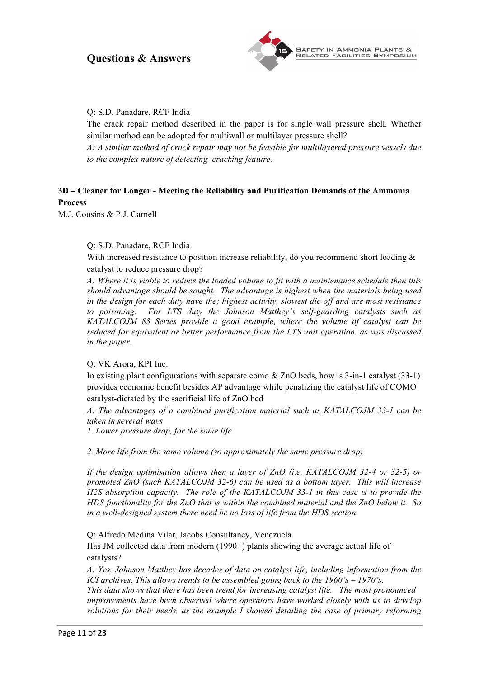

#### Q: S.D. Panadare, RCF India

The crack repair method described in the paper is for single wall pressure shell. Whether similar method can be adopted for multiwall or multilayer pressure shell?

*A: A similar method of crack repair may not be feasible for multilayered pressure vessels due to the complex nature of detecting cracking feature.*

### **3D – Cleaner for Longer - Meeting the Reliability and Purification Demands of the Ammonia Process**

M.J. Cousins & P.J. Carnell

#### Q: S.D. Panadare, RCF India

With increased resistance to position increase reliability, do you recommend short loading  $\&$ catalyst to reduce pressure drop?

*A: Where it is viable to reduce the loaded volume to fit with a maintenance schedule then this should advantage should be sought. The advantage is highest when the materials being used in the design for each duty have the; highest activity, slowest die off and are most resistance to poisoning. For LTS duty the Johnson Matthey's self-guarding catalysts such as KATALCOJM 83 Series provide a good example, where the volume of catalyst can be reduced for equivalent or better performance from the LTS unit operation, as was discussed in the paper.* 

#### Q: VK Arora, KPI Inc.

In existing plant configurations with separate como & ZnO beds, how is 3-in-1 catalyst (33-1) provides economic benefit besides AP advantage while penalizing the catalyst life of COMO catalyst-dictated by the sacrificial life of ZnO bed

*A: The advantages of a combined purification material such as KATALCOJM 33-1 can be taken in several ways* 

*1. Lower pressure drop, for the same life* 

*2. More life from the same volume (so approximately the same pressure drop)* 

*If the design optimisation allows then a layer of ZnO (i.e. KATALCOJM 32-4 or 32-5) or promoted ZnO (such KATALCOJM 32-6) can be used as a bottom layer. This will increase H2S absorption capacity. The role of the KATALCOJM 33-1 in this case is to provide the HDS functionality for the ZnO that is within the combined material and the ZnO below it. So in a well-designed system there need be no loss of life from the HDS section.* 

Q: Alfredo Medina Vilar, Jacobs Consultancy, Venezuela

Has JM collected data from modern (1990+) plants showing the average actual life of catalysts?

*A: Yes, Johnson Matthey has decades of data on catalyst life, including information from the ICI archives. This allows trends to be assembled going back to the 1960's – 1970's.* 

*This data shows that there has been trend for increasing catalyst life. The most pronounced improvements have been observed where operators have worked closely with us to develop solutions for their needs, as the example I showed detailing the case of primary reforming*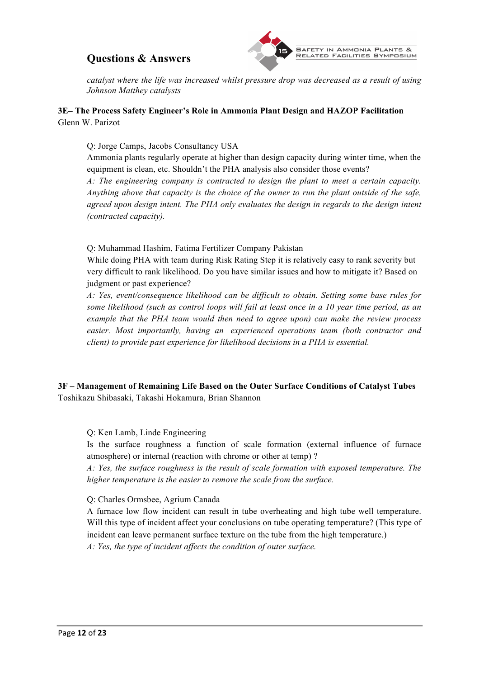

*catalyst where the life was increased whilst pressure drop was decreased as a result of using Johnson Matthey catalysts* 

#### **3E– The Process Safety Engineer's Role in Ammonia Plant Design and HAZOP Facilitation** Glenn W. Parizot

Q: Jorge Camps, Jacobs Consultancy USA

Ammonia plants regularly operate at higher than design capacity during winter time, when the equipment is clean, etc. Shouldn't the PHA analysis also consider those events?

*A: The engineering company is contracted to design the plant to meet a certain capacity. Anything above that capacity is the choice of the owner to run the plant outside of the safe, agreed upon design intent. The PHA only evaluates the design in regards to the design intent (contracted capacity).*

Q: Muhammad Hashim, Fatima Fertilizer Company Pakistan

While doing PHA with team during Risk Rating Step it is relatively easy to rank severity but very difficult to rank likelihood. Do you have similar issues and how to mitigate it? Based on judgment or past experience?

*A: Yes, event/consequence likelihood can be difficult to obtain. Setting some base rules for some likelihood (such as control loops will fail at least once in a 10 year time period, as an example that the PHA team would then need to agree upon) can make the review process easier. Most importantly, having an experienced operations team (both contractor and client) to provide past experience for likelihood decisions in a PHA is essential.*

### **3F – Management of Remaining Life Based on the Outer Surface Conditions of Catalyst Tubes** Toshikazu Shibasaki, Takashi Hokamura, Brian Shannon

Q: Ken Lamb, Linde Engineering

Is the surface roughness a function of scale formation (external influence of furnace atmosphere) or internal (reaction with chrome or other at temp) ?

*A: Yes, the surface roughness is the result of scale formation with exposed temperature. The higher temperature is the easier to remove the scale from the surface.*

Q: Charles Ormsbee, Agrium Canada

A furnace low flow incident can result in tube overheating and high tube well temperature. Will this type of incident affect your conclusions on tube operating temperature? (This type of incident can leave permanent surface texture on the tube from the high temperature.) *A: Yes, the type of incident affects the condition of outer surface.*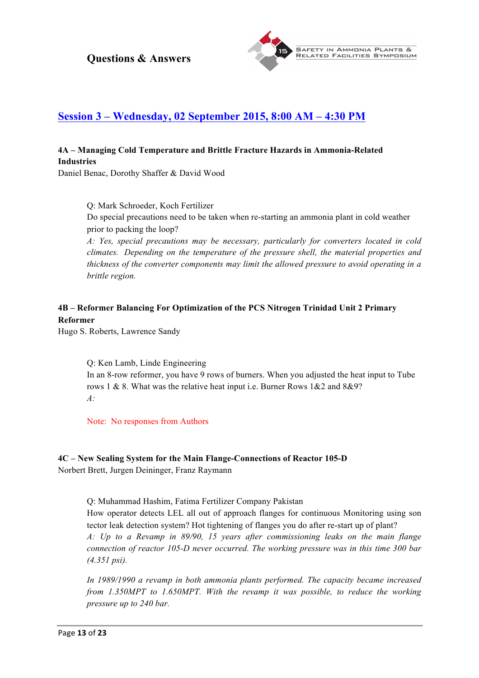

# **Session 3 – Wednesday, 02 September 2015, 8:00 AM – 4:30 PM**

### **4A – Managing Cold Temperature and Brittle Fracture Hazards in Ammonia-Related Industries**

Daniel Benac, Dorothy Shaffer & David Wood

Q: Mark Schroeder, Koch Fertilizer Do special precautions need to be taken when re-starting an ammonia plant in cold weather prior to packing the loop?

*A: Yes, special precautions may be necessary, particularly for converters located in cold climates. Depending on the temperature of the pressure shell, the material properties and thickness of the converter components may limit the allowed pressure to avoid operating in a brittle region.*

### **4B – Reformer Balancing For Optimization of the PCS Nitrogen Trinidad Unit 2 Primary Reformer**

Hugo S. Roberts, Lawrence Sandy

Q: Ken Lamb, Linde Engineering In an 8-row reformer, you have 9 rows of burners. When you adjusted the heat input to Tube rows 1 & 8. What was the relative heat input i.e. Burner Rows 1&2 and 8&9? *A:*

Note: No responses from Authors

#### **4C – New Sealing System for the Main Flange-Connections of Reactor 105-D**

Norbert Brett, Jurgen Deininger, Franz Raymann

Q: Muhammad Hashim, Fatima Fertilizer Company Pakistan

How operator detects LEL all out of approach flanges for continuous Monitoring using son tector leak detection system? Hot tightening of flanges you do after re-start up of plant?

*A: Up to a Revamp in 89/90, 15 years after commissioning leaks on the main flange connection of reactor 105-D never occurred. The working pressure was in this time 300 bar (4.351 psi).*

*In 1989/1990 a revamp in both ammonia plants performed. The capacity became increased from 1.350MPT to 1.650MPT. With the revamp it was possible, to reduce the working pressure up to 240 bar.*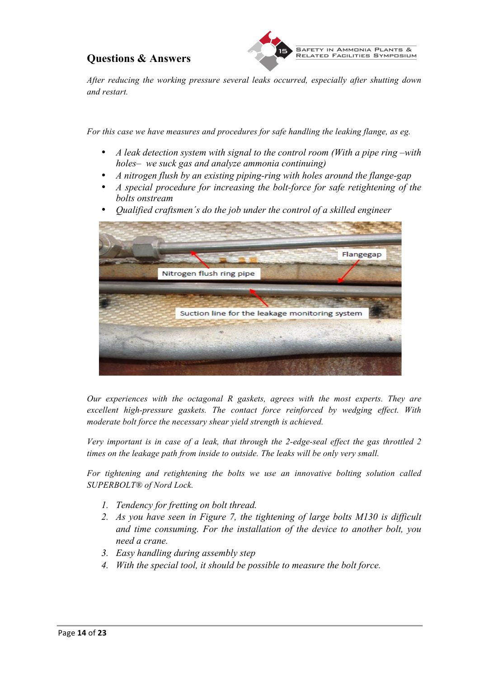

*After reducing the working pressure several leaks occurred, especially after shutting down and restart.*

*For this case we have measures and procedures for safe handling the leaking flange, as eg.*

- *A leak detection system with signal to the control room (With a pipe ring –with holes– we suck gas and analyze ammonia continuing)*
- *A nitrogen flush by an existing piping-ring with holes around the flange-gap*
- *A special procedure for increasing the bolt-force for safe retightening of the bolts onstream*
- *Qualified craftsmen´s do the job under the control of a skilled engineer*



*Our experiences with the octagonal R gaskets, agrees with the most experts. They are excellent high-pressure gaskets. The contact force reinforced by wedging effect. With moderate bolt force the necessary shear yield strength is achieved.*

*Very important is in case of a leak, that through the 2-edge-seal effect the gas throttled 2 times on the leakage path from inside to outside. The leaks will be only very small.*

*For tightening and retightening the bolts we use an innovative bolting solution called SUPERBOLT® of Nord Lock.* 

- *1. Tendency for fretting on bolt thread.*
- *2. As you have seen in Figure 7, the tightening of large bolts M130 is difficult and time consuming. For the installation of the device to another bolt, you need a crane.*
- *3. Easy handling during assembly step*
- *4. With the special tool, it should be possible to measure the bolt force.*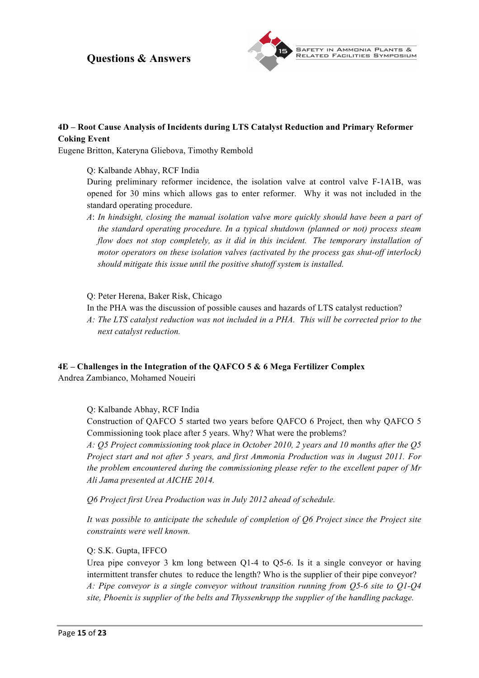

### **4D – Root Cause Analysis of Incidents during LTS Catalyst Reduction and Primary Reformer Coking Event**

Eugene Britton, Kateryna Gliebova, Timothy Rembold

Q: Kalbande Abhay, RCF India

During preliminary reformer incidence, the isolation valve at control valve F-1A1B, was opened for 30 mins which allows gas to enter reformer. Why it was not included in the standard operating procedure.

*A*: *In hindsight, closing the manual isolation valve more quickly should have been a part of the standard operating procedure. In a typical shutdown (planned or not) process steam flow does not stop completely, as it did in this incident. The temporary installation of motor operators on these isolation valves (activated by the process gas shut-off interlock) should mitigate this issue until the positive shutoff system is installed.*

Q: Peter Herena, Baker Risk, Chicago

- In the PHA was the discussion of possible causes and hazards of LTS catalyst reduction?
- *A: The LTS catalyst reduction was not included in a PHA. This will be corrected prior to the next catalyst reduction.*

#### **4E – Challenges in the Integration of the QAFCO 5 & 6 Mega Fertilizer Complex**

Andrea Zambianco, Mohamed Noueiri

Q: Kalbande Abhay, RCF India

Construction of QAFCO 5 started two years before QAFCO 6 Project, then why QAFCO 5 Commissioning took place after 5 years. Why? What were the problems?

*A: Q5 Project commissioning took place in October 2010, 2 years and 10 months after the Q5 Project start and not after 5 years, and first Ammonia Production was in August 2011. For the problem encountered during the commissioning please refer to the excellent paper of Mr Ali Jama presented at AICHE 2014.*

*Q6 Project first Urea Production was in July 2012 ahead of schedule.*

*It was possible to anticipate the schedule of completion of Q6 Project since the Project site constraints were well known.*

#### Q: S.K. Gupta, IFFCO

Urea pipe conveyor 3 km long between Q1-4 to Q5-6. Is it a single conveyor or having intermittent transfer chutes to reduce the length? Who is the supplier of their pipe conveyor? *A: Pipe conveyor is a single conveyor without transition running from Q5-6 site to Q1-Q4 site, Phoenix is supplier of the belts and Thyssenkrupp the supplier of the handling package.*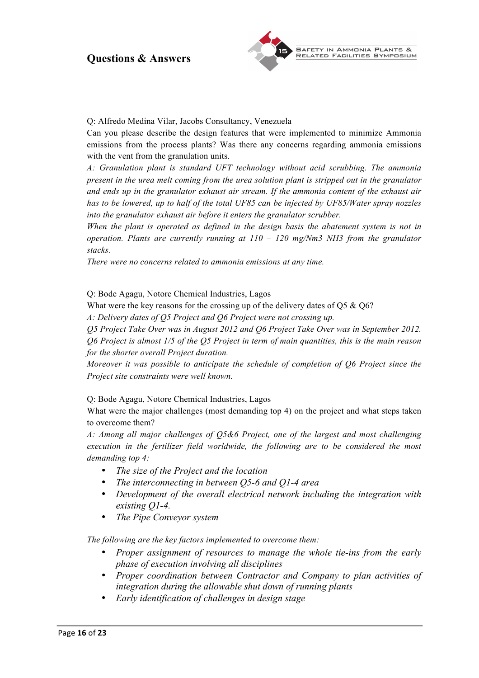

### Q: Alfredo Medina Vilar, Jacobs Consultancy, Venezuela

Can you please describe the design features that were implemented to minimize Ammonia emissions from the process plants? Was there any concerns regarding ammonia emissions with the vent from the granulation units.

*A: Granulation plant is standard UFT technology without acid scrubbing. The ammonia present in the urea melt coming from the urea solution plant is stripped out in the granulator and ends up in the granulator exhaust air stream. If the ammonia content of the exhaust air has to be lowered, up to half of the total UF85 can be injected by UF85/Water spray nozzles into the granulator exhaust air before it enters the granulator scrubber.* 

*When the plant is operated as defined in the design basis the abatement system is not in operation. Plants are currently running at 110 – 120 mg/Nm3 NH3 from the granulator stacks.*

*There were no concerns related to ammonia emissions at any time.*

Q: Bode Agagu, Notore Chemical Industries, Lagos

What were the key reasons for the crossing up of the delivery dates of Q5 & Q6?

*A: Delivery dates of Q5 Project and Q6 Project were not crossing up.*

*Q5 Project Take Over was in August 2012 and Q6 Project Take Over was in September 2012. Q6 Project is almost 1/5 of the Q5 Project in term of main quantities, this is the main reason for the shorter overall Project duration.*

*Moreover it was possible to anticipate the schedule of completion of Q6 Project since the Project site constraints were well known.*

Q: Bode Agagu, Notore Chemical Industries, Lagos

What were the major challenges (most demanding top 4) on the project and what steps taken to overcome them?

*A: Among all major challenges of Q5&6 Project, one of the largest and most challenging execution in the fertilizer field worldwide, the following are to be considered the most demanding top 4:*

- *The size of the Project and the location*
- *The interconnecting in between Q5-6 and Q1-4 area*
- *Development of the overall electrical network including the integration with existing Q1-4.*
- *The Pipe Conveyor system*

*The following are the key factors implemented to overcome them:*

- *Proper assignment of resources to manage the whole tie-ins from the early phase of execution involving all disciplines*
- *Proper coordination between Contractor and Company to plan activities of integration during the allowable shut down of running plants*
- *Early identification of challenges in design stage*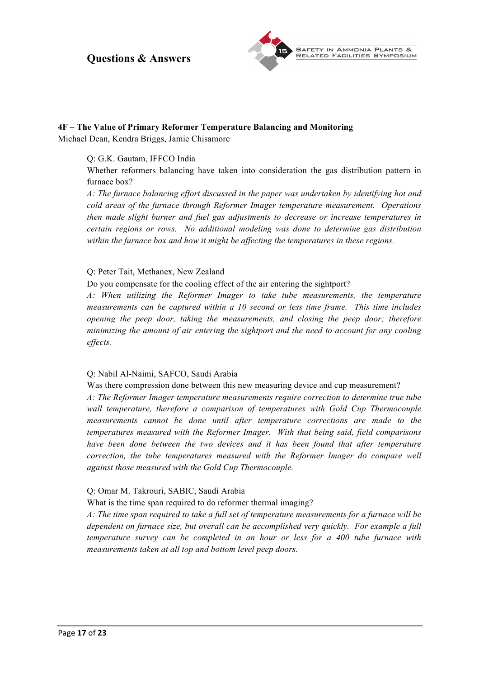

### **4F – The Value of Primary Reformer Temperature Balancing and Monitoring**

Michael Dean, Kendra Briggs, Jamie Chisamore

### Q: G.K. Gautam, IFFCO India

Whether reformers balancing have taken into consideration the gas distribution pattern in furnace box?

*A: The furnace balancing effort discussed in the paper was undertaken by identifying hot and cold areas of the furnace through Reformer Imager temperature measurement. Operations then made slight burner and fuel gas adjustments to decrease or increase temperatures in certain regions or rows. No additional modeling was done to determine gas distribution within the furnace box and how it might be affecting the temperatures in these regions.*

#### Q: Peter Tait, Methanex, New Zealand

Do you compensate for the cooling effect of the air entering the sightport?

*A: When utilizing the Reformer Imager to take tube measurements, the temperature measurements can be captured within a 10 second or less time frame. This time includes opening the peep door, taking the measurements, and closing the peep door; therefore minimizing the amount of air entering the sightport and the need to account for any cooling effects.*

#### Q: Nabil Al-Naimi, SAFCO, Saudi Arabia

Was there compression done between this new measuring device and cup measurement?

*A: The Reformer Imager temperature measurements require correction to determine true tube wall temperature, therefore a comparison of temperatures with Gold Cup Thermocouple measurements cannot be done until after temperature corrections are made to the temperatures measured with the Reformer Imager. With that being said, field comparisons*  have been done between the two devices and it has been found that after temperature *correction, the tube temperatures measured with the Reformer Imager do compare well against those measured with the Gold Cup Thermocouple.*

#### Q: Omar M. Takrouri, SABIC, Saudi Arabia

What is the time span required to do reformer thermal imaging?

*A: The time span required to take a full set of temperature measurements for a furnace will be dependent on furnace size, but overall can be accomplished very quickly. For example a full temperature survey can be completed in an hour or less for a 400 tube furnace with measurements taken at all top and bottom level peep doors.*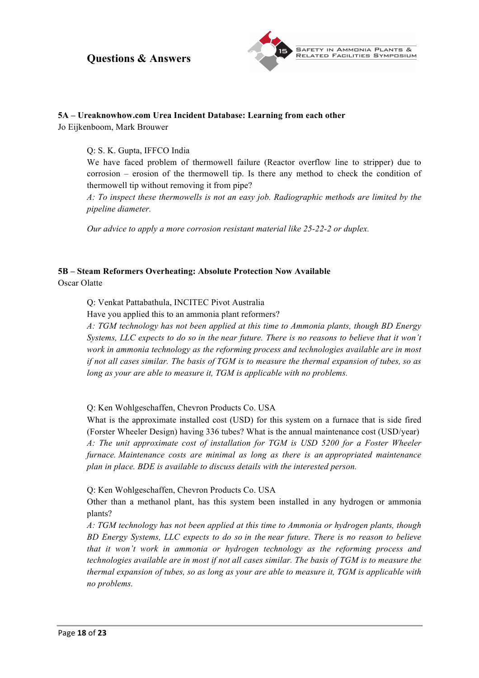

### **5A – Ureaknowhow.com Urea Incident Database: Learning from each other**

Jo Eijkenboom, Mark Brouwer

### Q: S. K. Gupta, IFFCO India

We have faced problem of thermowell failure (Reactor overflow line to stripper) due to corrosion – erosion of the thermowell tip. Is there any method to check the condition of thermowell tip without removing it from pipe?

*A: To inspect these thermowells is not an easy job. Radiographic methods are limited by the pipeline diameter.*

*Our advice to apply a more corrosion resistant material like 25-22-2 or duplex.*

### **5B – Steam Reformers Overheating: Absolute Protection Now Available** Oscar Olatte

Q: Venkat Pattabathula, INCITEC Pivot Australia

Have you applied this to an ammonia plant reformers?

*A: TGM technology has not been applied at this time to Ammonia plants, though BD Energy Systems, LLC expects to do so in the near future. There is no reasons to believe that it won't work in ammonia technology as the reforming process and technologies available are in most if not all cases similar. The basis of TGM is to measure the thermal expansion of tubes, so as long as your are able to measure it, TGM is applicable with no problems.*

Q: Ken Wohlgeschaffen, Chevron Products Co. USA

What is the approximate installed cost (USD) for this system on a furnace that is side fired (Forster Wheeler Design) having 336 tubes? What is the annual maintenance cost (USD/year) *A: The unit approximate cost of installation for TGM is USD 5200 for a Foster Wheeler furnace. Maintenance costs are minimal as long as there is an appropriated maintenance plan in place. BDE is available to discuss details with the interested person.*

Q: Ken Wohlgeschaffen, Chevron Products Co. USA

Other than a methanol plant, has this system been installed in any hydrogen or ammonia plants?

*A: TGM technology has not been applied at this time to Ammonia or hydrogen plants, though BD Energy Systems, LLC expects to do so in the near future. There is no reason to believe that it won't work in ammonia or hydrogen technology as the reforming process and technologies available are in most if not all cases similar. The basis of TGM is to measure the thermal expansion of tubes, so as long as your are able to measure it, TGM is applicable with no problems.*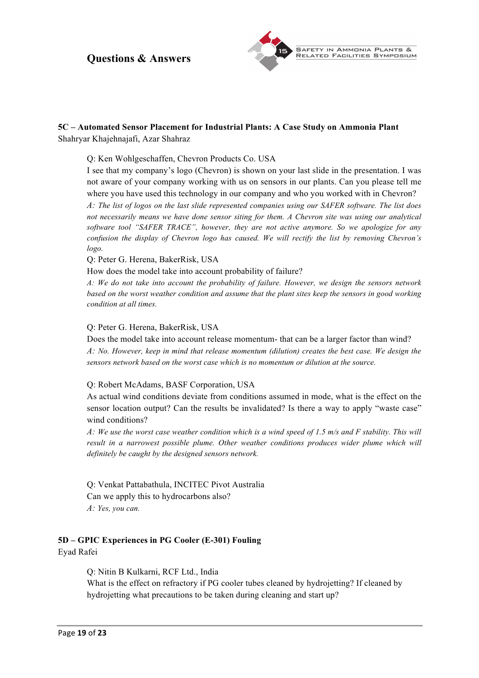

#### **5C – Automated Sensor Placement for Industrial Plants: A Case Study on Ammonia Plant** Shahryar Khajehnajafi, Azar Shahraz

#### Q: Ken Wohlgeschaffen, Chevron Products Co. USA

I see that my company's logo (Chevron) is shown on your last slide in the presentation. I was not aware of your company working with us on sensors in our plants. Can you please tell me where you have used this technology in our company and who you worked with in Chevron?

*A: The list of logos on the last slide represented companies using our SAFER software. The list does not necessarily means we have done sensor siting for them. A Chevron site was using our analytical software tool "SAFER TRACE", however, they are not active anymore. So we apologize for any confusion the display of Chevron logo has caused. We will rectify the list by removing Chevron's logo.* 

#### Q: Peter G. Herena, BakerRisk, USA

How does the model take into account probability of failure?

*A: We do not take into account the probability of failure. However, we design the sensors network based on the worst weather condition and assume that the plant sites keep the sensors in good working condition at all times.*

#### Q: Peter G. Herena, BakerRisk, USA

Does the model take into account release momentum- that can be a larger factor than wind? *A: No. However, keep in mind that release momentum (dilution) creates the best case. We design the sensors network based on the worst case which is no momentum or dilution at the source.*

#### Q: Robert McAdams, BASF Corporation, USA

As actual wind conditions deviate from conditions assumed in mode, what is the effect on the sensor location output? Can the results be invalidated? Is there a way to apply "waste case" wind conditions?

*A: We use the worst case weather condition which is a wind speed of 1.5 m/s and F stability. This will result in a narrowest possible plume. Other weather conditions produces wider plume which will definitely be caught by the designed sensors network.*

Q: Venkat Pattabathula, INCITEC Pivot Australia Can we apply this to hydrocarbons also? *A: Yes, you can.*

#### **5D – GPIC Experiences in PG Cooler (E-301) Fouling**

Eyad Rafei

Q: Nitin B Kulkarni, RCF Ltd., India

What is the effect on refractory if PG cooler tubes cleaned by hydrojetting? If cleaned by hydrojetting what precautions to be taken during cleaning and start up?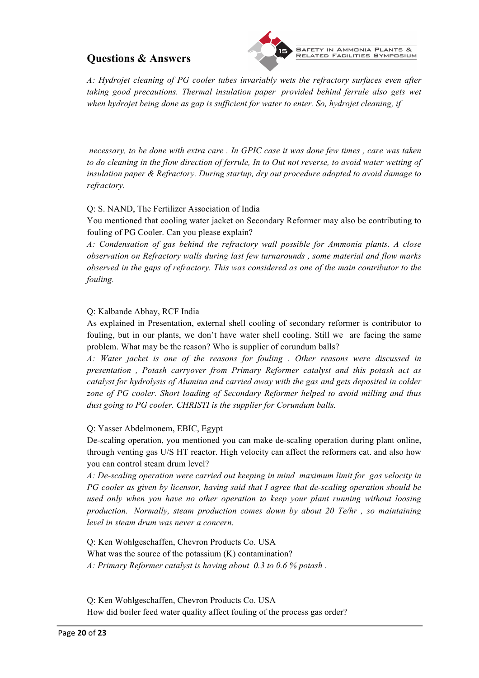

**SAFETY IN AMMONIA PLANTS &** RELATED FACILITIES SYMPOSIUM

*A: Hydrojet cleaning of PG cooler tubes invariably wets the refractory surfaces even after taking good precautions. Thermal insulation paper provided behind ferrule also gets wet when hydrojet being done as gap is sufficient for water to enter. So, hydrojet cleaning, if*

*necessary, to be done with extra care . In GPIC case it was done few times , care was taken to do cleaning in the flow direction of ferrule, In to Out not reverse, to avoid water wetting of insulation paper & Refractory. During startup, dry out procedure adopted to avoid damage to refractory.*

#### Q: S. NAND, The Fertilizer Association of India

You mentioned that cooling water jacket on Secondary Reformer may also be contributing to fouling of PG Cooler. Can you please explain?

*A: Condensation of gas behind the refractory wall possible for Ammonia plants. A close observation on Refractory walls during last few turnarounds , some material and flow marks observed in the gaps of refractory. This was considered as one of the main contributor to the fouling.*

#### Q: Kalbande Abhay, RCF India

As explained in Presentation, external shell cooling of secondary reformer is contributor to fouling, but in our plants, we don't have water shell cooling. Still we are facing the same problem. What may be the reason? Who is supplier of corundum balls?

*A: Water jacket is one of the reasons for fouling . Other reasons were discussed in presentation , Potash carryover from Primary Reformer catalyst and this potash act as catalyst for hydrolysis of Alumina and carried away with the gas and gets deposited in colder zone of PG cooler. Short loading of Secondary Reformer helped to avoid milling and thus dust going to PG cooler. CHRISTI is the supplier for Corundum balls.*

#### Q: Yasser Abdelmonem, EBIC, Egypt

De-scaling operation, you mentioned you can make de-scaling operation during plant online, through venting gas U/S HT reactor. High velocity can affect the reformers cat. and also how you can control steam drum level?

*A: De-scaling operation were carried out keeping in mind maximum limit for gas velocity in PG cooler as given by licensor, having said that I agree that de-scaling operation should be used only when you have no other operation to keep your plant running without loosing production. Normally, steam production comes down by about 20 Te/hr , so maintaining level in steam drum was never a concern.*

Q: Ken Wohlgeschaffen, Chevron Products Co. USA What was the source of the potassium  $(K)$  contamination? *A: Primary Reformer catalyst is having about 0.3 to 0.6 % potash .*

Q: Ken Wohlgeschaffen, Chevron Products Co. USA

How did boiler feed water quality affect fouling of the process gas order?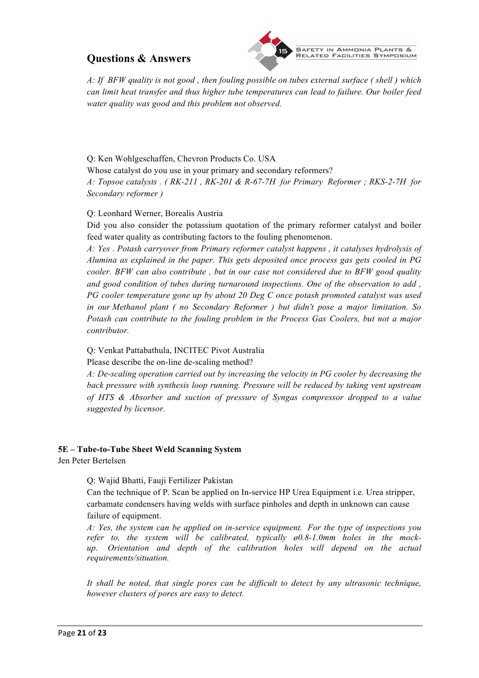

**SAFETY IN AMMONIA PLANTS &** 

*A: If BFW quality is not good , then fouling possible on tubes external surface ( shell ) which can limit heat transfer and thus higher tube temperatures can lead to failure. Our boiler feed water quality was good and this problem not observed.*

Q: Ken Wohlgeschaffen, Chevron Products Co. USA Whose catalyst do you use in your primary and secondary reformers? *A: Topsoe catalysts . ( RK-211 , RK-201 & R-67-7H for Primary Reformer ; RKS-2-7H for Secondary reformer )*

Q: Leonhard Werner, Borealis Austria

Did you also consider the potassium quotation of the primary reformer catalyst and boiler feed water quality as contributing factors to the fouling phenomenon.

*A: Yes . Potash carryover from Primary reformer catalyst happens , it catalyses hydrolysis of Alumina as explained in the paper. This gets deposited once process gas gets cooled in PG cooler. BFW can also contribute , but in our case not considered due to BFW good quality and good condition of tubes during turnaround inspections. One of the observation to add , PG cooler temperature gone up by about 20 Deg C once potash promoted catalyst was used in our Methanol plant ( no Secondary Reformer ) but didn't pose a major limitation. So Potash can contribute to the fouling problem in the Process Gas Coolers, but not a major contributor.*

Q: Venkat Pattabathula, INCITEC Pivot Australia

Please describe the on-line de-scaling method?

*A: De-scaling operation carried out by increasing the velocity in PG cooler by decreasing the back pressure with synthesis loop running. Pressure will be reduced by taking vent upstream of HTS & Absorber and suction of pressure of Syngas compressor dropped to a value suggested by licensor.*

#### **5E – Tube-to-Tube Sheet Weld Scanning System**

Jen Peter Bertelsen

Q: Wajid Bhatti, Fauji Fertilizer Pakistan

Can the technique of P. Scan be applied on In-service HP Urea Equipment i.e. Urea stripper, carbamate condensers having welds with surface pinholes and depth in unknown can cause failure of equipment.

*A: Yes, the system can be applied on in-service equipment. For the type of inspections you refer to, the system will be calibrated, typically ø0.8-1.0mm holes in the mockup. Orientation and depth of the calibration holes will depend on the actual requirements/situation.*

*It shall be noted, that single pores can be difficult to detect by any ultrasonic technique, however clusters of pores are easy to detect.*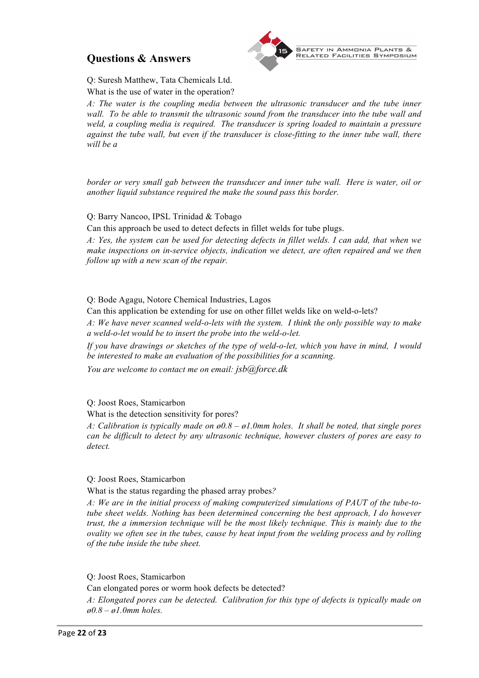

Q: Suresh Matthew, Tata Chemicals Ltd. What is the use of water in the operation?

*A: The water is the coupling media between the ultrasonic transducer and the tube inner wall. To be able to transmit the ultrasonic sound from the transducer into the tube wall and weld, a coupling media is required. The transducer is spring loaded to maintain a pressure against the tube wall, but even if the transducer is close-fitting to the inner tube wall, there will be a* 

*border or very small gab between the transducer and inner tube wall. Here is water, oil or another liquid substance required the make the sound pass this border.*

Q: Barry Nancoo, IPSL Trinidad & Tobago

Can this approach be used to detect defects in fillet welds for tube plugs.

*A: Yes, the system can be used for detecting defects in fillet welds. I can add, that when we make inspections on in-service objects, indication we detect, are often repaired and we then follow up with a new scan of the repair.*

Q: Bode Agagu, Notore Chemical Industries, Lagos

Can this application be extending for use on other fillet welds like on weld-o-lets?

*A: We have never scanned weld-o-lets with the system. I think the only possible way to make a weld-o-let would be to insert the probe into the weld-o-let.*

*If you have drawings or sketches of the type of weld-o-let, which you have in mind, I would be interested to make an evaluation of the possibilities for a scanning.*

*You are welcome to contact me on email: jsb@force.dk*

Q: Joost Roes, Stamicarbon

What is the detection sensitivity for pores?

*A: Calibration is typically made on ø0.8 – ø1.0mm holes. It shall be noted, that single pores can be difficult to detect by any ultrasonic technique, however clusters of pores are easy to detect.*

#### Q: Joost Roes, Stamicarbon

What is the status regarding the phased array probes*?*

*A: We are in the initial process of making computerized simulations of PAUT of the tube-totube sheet welds. Nothing has been determined concerning the best approach, I do however trust, the a immersion technique will be the most likely technique. This is mainly due to the ovality we often see in the tubes, cause by heat input from the welding process and by rolling of the tube inside the tube sheet.*

Q: Joost Roes, Stamicarbon

Can elongated pores or worm hook defects be detected?

*A: Elongated pores can be detected. Calibration for this type of defects is typically made on ø0.8 – ø1.0mm holes.*